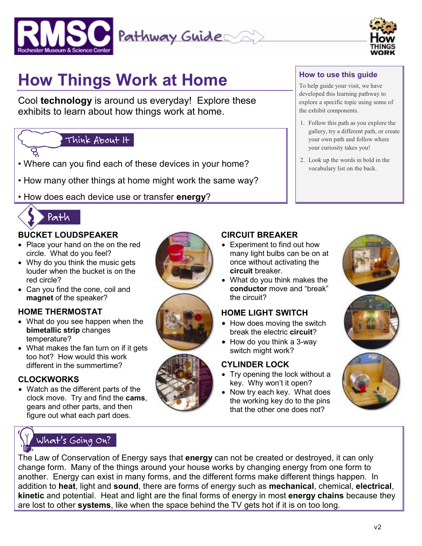



# **How Things Work at Home**

Cool **technology** is around us everyday! Explore these exhibits to learn about how things work at home.

### Think About It

- Where can you find each of these devices in your home?  $\| \cdot \|^2$ . Look up the words in bold is
- How many other things at home might work the same way?
- How does each device use or transfer **energy**?



#### **BUCKET LOUDSPEAKER**

- Place your hand on the on the red circle. What do you feel?
- Why do you think the music gets louder when the bucket is on the red circle?
- Can you find the cone, coil and **magnet** of the speaker?

#### **HOME THERMOSTAT**

- What do you see happen when the **bimetallic strip** changes temperature?
- What makes the fan turn on if it gets too hot? How would this work different in the summertime?

#### **CLOCKWORKS**

• Watch as the different parts of the clock move. Try and find the **cams**, gears and other parts, and then figure out what each part does.









# **CIRCUIT BREAKER**

- Experiment to find out how many light bulbs can be on at once without activating the **circuit** breaker.
- What do you think makes the **conductor** move and "break" the circuit?

#### **HOME LIGHT SWITCH**

- How does moving the switch break the electric **circuit**?
- How do you think a 3-way switch might work?

#### **CYLINDER LOCK**

- Try opening the lock without a key. Why won't it open?
- Now try each key. What does the working key do to the pins that the other one does not?



# **How to use this guide**

To help guide your visit, we have developed this learning pathway to explore a specific topic using some of the exhibit components.

- 1. Follow this path as you explore the gallery, try a different path, or create your own path and follow where your curiosity takes you!
- 2. Look up the words in bold in the

The Law of Conservation of Energy says that **energy** can not be created or destroyed, it can only change form. Many of the things around your house works by changing energy from one form to another. Energy can exist in many forms, and the different forms make different things happen. In addition to **heat**, light and **sound**, there are forms of energy such as **mechanical**, chemical, **electrical**, **kinetic** and potential. Heat and light are the final forms of energy in most **energy chains** because they are lost to other **systems**, like when the space behind the TV gets hot if it is on too long.